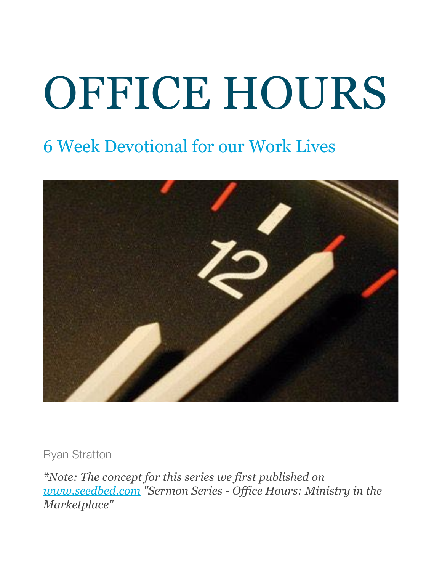# OFFICE HOURS

# 6 Week Devotional for our Work Lives



Ryan Stratton

*\*Note: The concept for this series we first published on [www.seedbed.com](http://www.seedbed.com/) "Sermon Series - Office Hours: Ministry in the Marketplace"*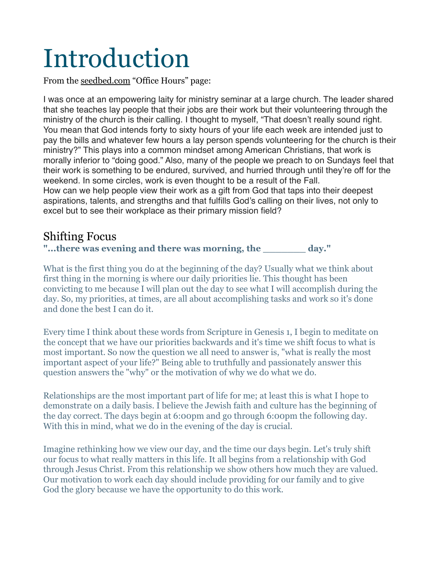# <span id="page-2-0"></span>Introduction

From the [seedbed.com](http://seedbed.com) "Office Hours" page:

I was once at an empowering laity for ministry seminar at a large church. The leader shared that she teaches lay people that their jobs are their work but their volunteering through the ministry of the church is their calling. I thought to myself, "That doesn't really sound right. You mean that God intends forty to sixty hours of your life each week are intended just to pay the bills and whatever few hours a lay person spends volunteering for the church is their ministry?" This plays into a common mindset among American Christians, that work is morally inferior to "doing good." Also, many of the people we preach to on Sundays feel that their work is something to be endured, survived, and hurried through until they're off for the weekend. In some circles, work is even thought to be a result of the Fall. How can we help people view their work as a gift from God that taps into their deepest aspirations, talents, and strengths and that fulfills God's calling on their lives, not only to excel but to see their workplace as their primary mission field?

#### <span id="page-2-1"></span>Shifting Focus

**"...there was evening and there was morning, the \_\_\_\_\_\_\_ day."**

What is the first thing you do at the beginning of the day? Usually what we think about first thing in the morning is where our daily priorities lie. This thought has been convicting to me because I will plan out the day to see what I will accomplish during the day. So, my priorities, at times, are all about accomplishing tasks and work so it's done and done the best I can do it.

Every time I think about these words from Scripture in Genesis 1, I begin to meditate on the concept that we have our priorities backwards and it's time we shift focus to what is most important. So now the question we all need to answer is, "what is really the most important aspect of your life?" Being able to truthfully and passionately answer this question answers the "why" or the motivation of why we do what we do.

Relationships are the most important part of life for me; at least this is what I hope to demonstrate on a daily basis. I believe the Jewish faith and culture has the beginning of the day correct. The days begin at 6:00pm and go through 6:00pm the following day. With this in mind, what we do in the evening of the day is crucial.

Imagine rethinking how we view our day, and the time our days begin. Let's truly shift our focus to what really matters in this life. It all begins from a relationship with God through Jesus Christ. From this relationship we show others how much they are valued. Our motivation to work each day should include providing for our family and to give God the glory because we have the opportunity to do this work.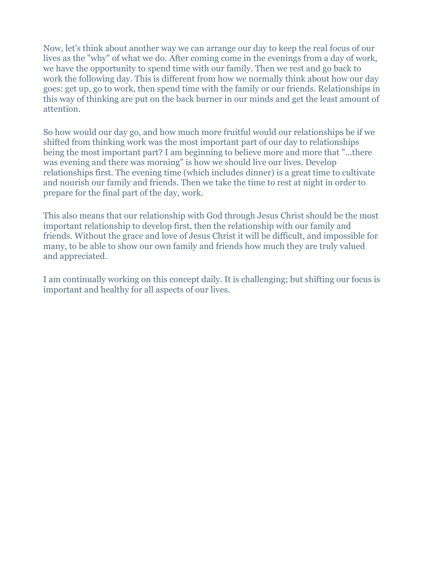Now, let's think about another way we can arrange our day to keep the real focus of our lives as the "why" of what we do. After coming come in the evenings from a day of work, we have the opportunity to spend time with our family. Then we rest and go back to work the following day. This is different from how we normally think about how our day goes: get up, go to work, then spend time with the family or our friends. Relationships in this way of thinking are put on the back burner in our minds and get the least amount of attention.

So how would our day go, and how much more fruitful would our relationships be if we shifted from thinking work was the most important part of our day to relationships being the most important part? I am beginning to believe more and more that "...there was evening and there was morning" is how we should live our lives. Develop relationships first. The evening time (which includes dinner) is a great time to cultivate and nourish our family and friends. Then we take the time to rest at night in order to prepare for the final part of the day, work.

This also means that our relationship with God through Jesus Christ should be the most important relationship to develop first, then the relationship with our family and friends. Without the grace and love of Jesus Christ it will be difficult, and impossible for many, to be able to show our own family and friends how much they are truly valued and appreciated.

I am continually working on this concept daily. It is challenging; but shifting our focus is important and healthy for all aspects of our lives.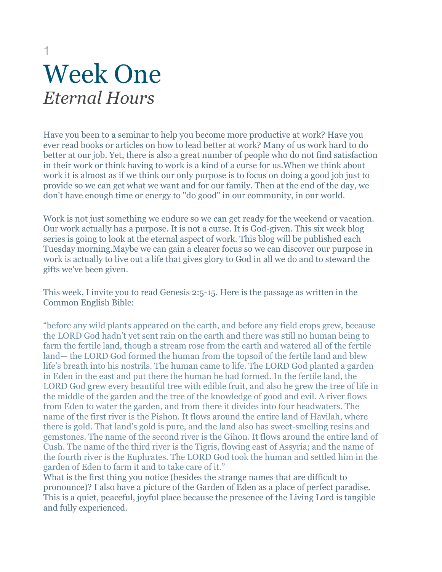## <span id="page-4-0"></span>1 Week One *Eternal Hours*

<span id="page-4-1"></span>Have you been to a seminar to help you become more productive at work? Have you ever read books or articles on how to lead better at work? Many of us work hard to do better at our job. Yet, there is also a great number of people who do not find satisfaction in their work or think having to work is a kind of a curse for us.When we think about work it is almost as if we think our only purpose is to focus on doing a good job just to provide so we can get what we want and for our family. Then at the end of the day, we don't have enough time or energy to "do good" in our community, in our world.

Work is not just something we endure so we can get ready for the weekend or vacation. Our work actually has a purpose. It is not a curse. It is God-given. This six week blog series is going to look at the eternal aspect of work. This blog will be published each Tuesday morning.Maybe we can gain a clearer focus so we can discover our purpose in work is actually to live out a life that gives glory to God in all we do and to steward the gifts we've been given.

This week, I invite you to read Genesis 2:5-15. Here is the passage as written in the Common English Bible:

"before any wild plants appeared on the earth, and before any field crops grew, because the LORD God hadn't yet sent rain on the earth and there was still no human being to farm the fertile land, though a stream rose from the earth and watered all of the fertile land— the LORD God formed the human from the topsoil of the fertile land and blew life's breath into his nostrils. The human came to life. The LORD God planted a garden in Eden in the east and put there the human he had formed. In the fertile land, the LORD God grew every beautiful tree with edible fruit, and also he grew the tree of life in the middle of the garden and the tree of the knowledge of good and evil. A river flows from Eden to water the garden, and from there it divides into four headwaters. The name of the first river is the Pishon. It flows around the entire land of Havilah, where there is gold. That land's gold is pure, and the land also has sweet-smelling resins and gemstones. The name of the second river is the Gihon. It flows around the entire land of Cush. The name of the third river is the Tigris, flowing east of Assyria; and the name of the fourth river is the Euphrates. The LORD God took the human and settled him in the garden of Eden to farm it and to take care of it."

What is the first thing you notice (besides the strange names that are difficult to pronounce)? I also have a picture of the Garden of Eden as a place of perfect paradise. This is a quiet, peaceful, joyful place because the presence of the Living Lord is tangible and fully experienced.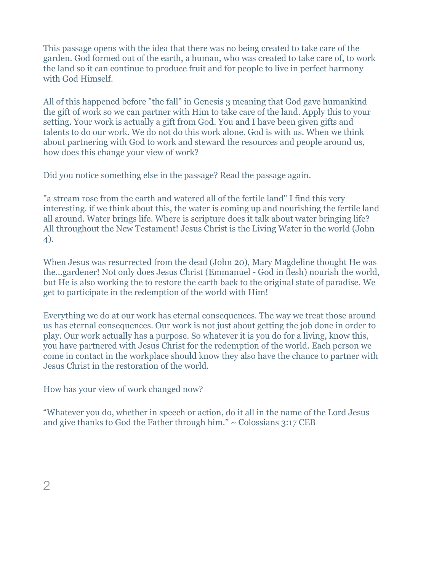This passage opens with the idea that there was no being created to take care of the garden. God formed out of the earth, a human, who was created to take care of, to work the land so it can continue to produce fruit and for people to live in perfect harmony with God Himself.

All of this happened before "the fall" in Genesis 3 meaning that God gave humankind the gift of work so we can partner with Him to take care of the land. Apply this to your setting. Your work is actually a gift from God. You and I have been given gifts and talents to do our work. We do not do this work alone. God is with us. When we think about partnering with God to work and steward the resources and people around us, how does this change your view of work?

Did you notice something else in the passage? Read the passage again.

"a stream rose from the earth and watered all of the fertile land" I find this very interesting. if we think about this, the water is coming up and nourishing the fertile land all around. Water brings life. Where is scripture does it talk about water bringing life? All throughout the New Testament! Jesus Christ is the Living Water in the world (John 4).

When Jesus was resurrected from the dead (John 20), Mary Magdeline thought He was the...gardener! Not only does Jesus Christ (Emmanuel - God in flesh) nourish the world, but He is also working the to restore the earth back to the original state of paradise. We get to participate in the redemption of the world with Him!

Everything we do at our work has eternal consequences. The way we treat those around us has eternal consequences. Our work is not just about getting the job done in order to play. Our work actually has a purpose. So whatever it is you do for a living, know this, you have partnered with Jesus Christ for the redemption of the world. Each person we come in contact in the workplace should know they also have the chance to partner with Jesus Christ in the restoration of the world.

How has your view of work changed now?

"Whatever you do, whether in speech or action, do it all in the name of the Lord Jesus and give thanks to God the Father through him."  $\sim$  Colossians 3:17 CEB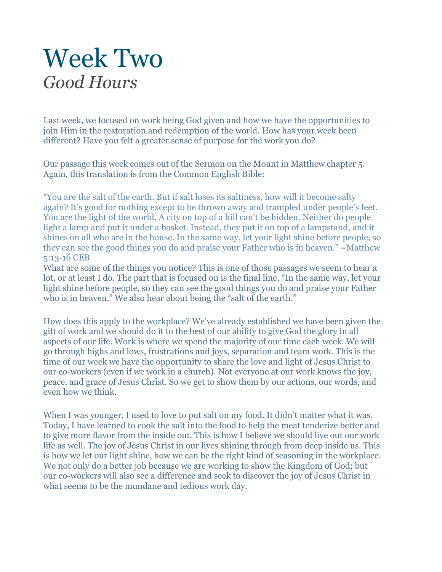# <span id="page-6-1"></span><span id="page-6-0"></span>Week Two *Good Hours*

Last week, we focused on work being God given and how we have the opportunities to join Him in the restoration and redemption of the world. How has your week been different? Have you felt a greater sense of purpose for the work you do?

Our passage this week comes out of the Sermon on the Mount in Matthew chapter 5. Again, this translation is from the Common English Bible:

"You are the salt of the earth. But if salt loses its saltiness, how will it become salty again? It's good for nothing except to be thrown away and trampled under people's feet. You are the light of the world. A city on top of a hill can't be hidden. Neither do people light a lamp and put it under a basket. Instead, they put it on top of a lampstand, and it shines on all who are in the house. In the same way, let your light shine before people, so they can see the good things you do and praise your Father who is in heaven." ~Matthew 5:13-16 CEB

What are some of the things you notice? This is one of those passages we seem to hear a lot, or at least I do. The part that is focused on is the final line, "In the same way, let your light shine before people, so they can see the good things you do and praise your Father who is in heaven." We also hear about being the "salt of the earth."

How does this apply to the workplace? We've already established we have been given the gift of work and we should do it to the best of our ability to give God the glory in all aspects of our life. Work is where we spend the majority of our time each week. We will go through highs and lows, frustrations and joys, separation and team work. This is the time of our week we have the opportunity to share the love and light of Jesus Christ to our co-workers (even if we work in a church). Not everyone at our work knows the joy, peace, and grace of Jesus Christ. So we get to show them by our actions, our words, and even how we think.

When I was younger, I used to love to put salt on my food. It didn't matter what it was. Today, I have learned to cook the salt into the food to help the meat tenderize better and to give more flavor from the inside out. This is how I believe we should live out our work life as well. The joy of Jesus Christ in our lives shining through from deep inside us. This is how we let our light shine, how we can be the right kind of seasoning in the workplace. We not only do a better job because we are working to show the Kingdom of God; but our co-workers will also see a difference and seek to discover the joy of Jesus Christ in what seems to be the mundane and tedious work day.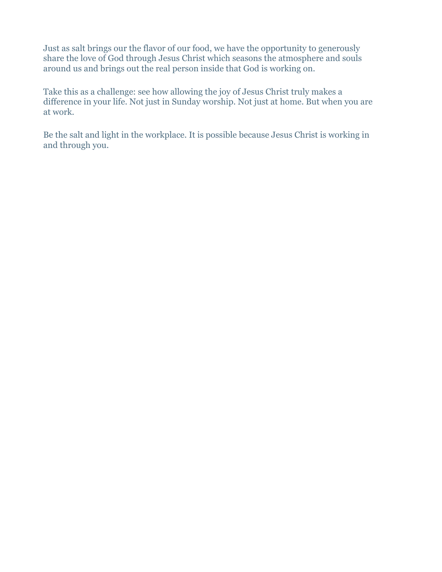Just as salt brings our the flavor of our food, we have the opportunity to generously share the love of God through Jesus Christ which seasons the atmosphere and souls around us and brings out the real person inside that God is working on.

Take this as a challenge: see how allowing the joy of Jesus Christ truly makes a difference in your life. Not just in Sunday worship. Not just at home. But when you are at work.

Be the salt and light in the workplace. It is possible because Jesus Christ is working in and through you.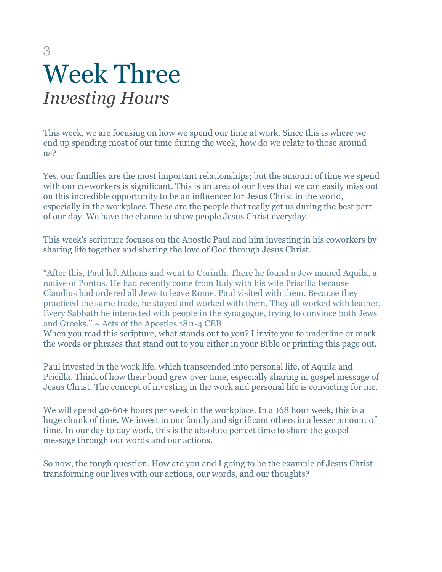# <span id="page-8-0"></span>3 Week Three *Investing Hours*

<span id="page-8-1"></span>This week, we are focusing on how we spend our time at work. Since this is where we end up spending most of our time during the week, how do we relate to those around  $\text{us}2$ 

Yes, our families are the most important relationships; but the amount of time we spend with our co-workers is significant. This is an area of our lives that we can easily miss out on this incredible opportunity to be an influencer for Jesus Christ in the world, especially in the workplace. These are the people that really get us during the best part of our day. We have the chance to show people Jesus Christ everyday.

This week's scripture focuses on the Apostle Paul and him investing in his coworkers by sharing life together and sharing the love of God through Jesus Christ.

"After this, Paul left Athens and went to Corinth. There he found a Jew named Aquila, a native of Pontus. He had recently come from Italy with his wife Priscilla because Claudius had ordered all Jews to leave Rome. Paul visited with them. Because they practiced the same trade, he stayed and worked with them. They all worked with leather. Every Sabbath he interacted with people in the synagogue, trying to convince both Jews and Greeks." ~ Acts of the Apostles 18:1-4 CEB

When you read this scripture, what stands out to you? I invite you to underline or mark the words or phrases that stand out to you either in your Bible or printing this page out.

Paul invested in the work life, which transcended into personal life, of Aquila and Pricilla. Think of how their bond grew over time, especially sharing in gospel message of Jesus Christ. The concept of investing in the work and personal life is convicting for me.

We will spend 40-60+ hours per week in the workplace. In a 168 hour week, this is a huge chunk of time. We invest in our family and significant others in a lesser amount of time. In our day to day work, this is the absolute perfect time to share the gospel message through our words and our actions.

So now, the tough question. How are you and I going to be the example of Jesus Christ transforming our lives with our actions, our words, and our thoughts?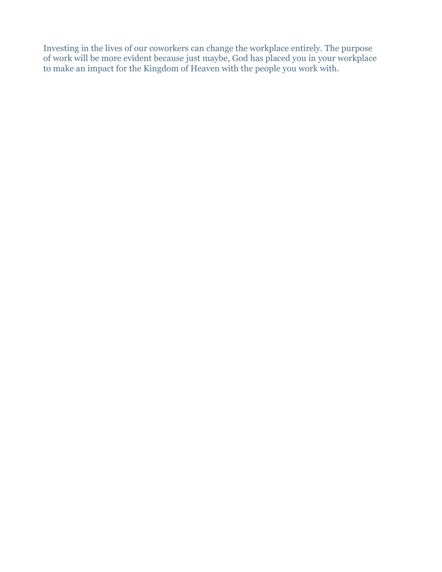Investing in the lives of our coworkers can change the workplace entirely. The purpose of work will be more evident because just maybe, God has placed you in your workplace to make an impact for the Kingdom of Heaven with the people you work with.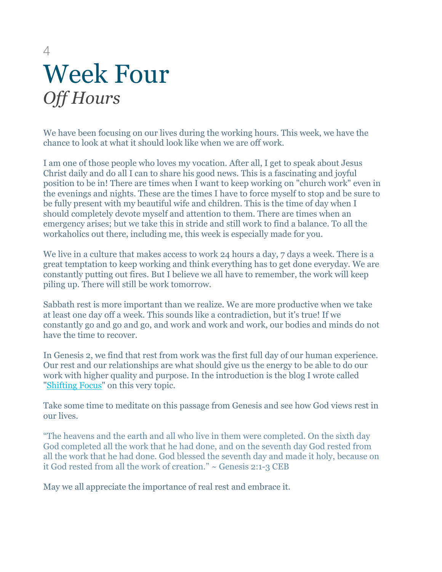# <span id="page-10-0"></span>4 Week Four *Off Hours*

<span id="page-10-1"></span>We have been focusing on our lives during the working hours. This week, we have the chance to look at what it should look like when we are off work.

I am one of those people who loves my vocation. After all, I get to speak about Jesus Christ daily and do all I can to share his good news. This is a fascinating and joyful position to be in! There are times when I want to keep working on "church work" even in the evenings and nights. These are the times I have to force myself to stop and be sure to be fully present with my beautiful wife and children. This is the time of day when I should completely devote myself and attention to them. There are times when an emergency arises; but we take this in stride and still work to find a balance. To all the workaholics out there, including me, this week is especially made for you.

We live in a culture that makes access to work 24 hours a day, 7 days a week. There is a great temptation to keep working and think everything has to get done everyday. We are constantly putting out fires. But I believe we all have to remember, the work will keep piling up. There will still be work tomorrow.

Sabbath rest is more important than we realize. We are more productive when we take at least one day off a week. This sounds like a contradiction, but it's true! If we constantly go and go and go, and work and work and work, our bodies and minds do not have the time to recover.

In Genesis 2, we find that rest from work was the first full day of our human experience. Our rest and our relationships are what should give us the energy to be able to do our work with higher quality and purpose. In the introduction is the blog I wrote called "[Shifting Focus](https://ryanstrattonblog1.wordpress.com/2016/08/26/shifting-focus/)" on this very topic.

Take some time to meditate on this passage from Genesis and see how God views rest in our lives.

"The heavens and the earth and all who live in them were completed. On the sixth day God completed all the work that he had done, and on the seventh day God rested from all the work that he had done. God blessed the seventh day and made it holy, because on it God rested from all the work of creation." ~ Genesis 2:1-3 CEB

May we all appreciate the importance of real rest and embrace it.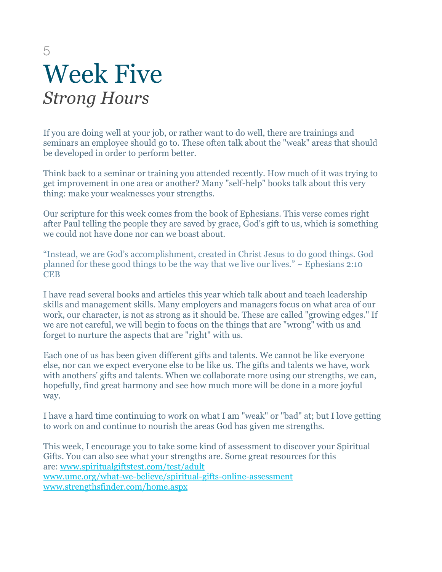# <span id="page-11-0"></span>5 Week Five *Strong Hours*

<span id="page-11-1"></span>If you are doing well at your job, or rather want to do well, there are trainings and seminars an employee should go to. These often talk about the "weak" areas that should be developed in order to perform better.

Think back to a seminar or training you attended recently. How much of it was trying to get improvement in one area or another? Many "self-help" books talk about this very thing: make your weaknesses your strengths.

Our scripture for this week comes from the book of Ephesians. This verse comes right after Paul telling the people they are saved by grace, God's gift to us, which is something we could not have done nor can we boast about.

"Instead, we are God's accomplishment, created in Christ Jesus to do good things. God planned for these good things to be the way that we live our lives."  $\sim$  Ephesians 2:10 **CEB** 

I have read several books and articles this year which talk about and teach leadership skills and management skills. Many employers and managers focus on what area of our work, our character, is not as strong as it should be. These are called "growing edges." If we are not careful, we will begin to focus on the things that are "wrong" with us and forget to nurture the aspects that are "right" with us.

Each one of us has been given different gifts and talents. We cannot be like everyone else, nor can we expect everyone else to be like us. The gifts and talents we have, work with anothers' gifts and talents. When we collaborate more using our strengths, we can, hopefully, find great harmony and see how much more will be done in a more joyful way.

I have a hard time continuing to work on what I am "weak" or "bad" at; but I love getting to work on and continue to nourish the areas God has given me strengths.

This week, I encourage you to take some kind of assessment to discover your Spiritual Gifts. You can also see what your strengths are. Some great resources for this are: [www.spiritualgiftstest.com/test/adult](http://www.spiritualgiftstest.com/test/adult%22%20%5Ct%20%22_blank) [www.umc.org/what-we-believe/spiritual-gifts-online-assessment](http://www.umc.org/what-we-believe/spiritual-gifts-online-assessment%22%20%5Ct%20%22_blank) [www.strengthsfinder.com/home.aspx](http://www.strengthsfinder.com/home.aspx%22%20%5Ct%20%22_blank)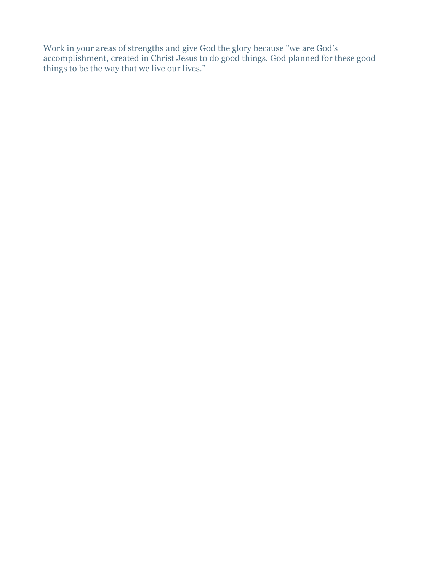Work in your areas of strengths and give God the glory because "we are God's accomplishment, created in Christ Jesus to do good things. God planned for these good things to be the way that we live our lives."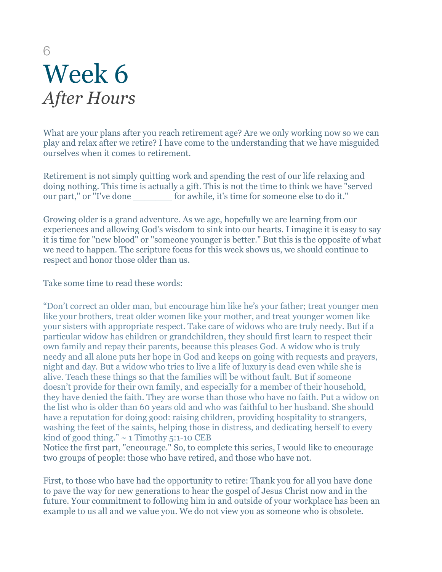# <span id="page-13-0"></span>6 Week 6 *After Hours*

<span id="page-13-1"></span>What are your plans after you reach retirement age? Are we only working now so we can play and relax after we retire? I have come to the understanding that we have misguided ourselves when it comes to retirement.

Retirement is not simply quitting work and spending the rest of our life relaxing and doing nothing. This time is actually a gift. This is not the time to think we have "served our part," or "I've done \_\_\_\_\_\_\_ for awhile, it's time for someone else to do it."

Growing older is a grand adventure. As we age, hopefully we are learning from our experiences and allowing God's wisdom to sink into our hearts. I imagine it is easy to say it is time for "new blood" or "someone younger is better." But this is the opposite of what we need to happen. The scripture focus for this week shows us, we should continue to respect and honor those older than us.

Take some time to read these words:

"Don't correct an older man, but encourage him like he's your father; treat younger men like your brothers, treat older women like your mother, and treat younger women like your sisters with appropriate respect. Take care of widows who are truly needy. But if a particular widow has children or grandchildren, they should first learn to respect their own family and repay their parents, because this pleases God. A widow who is truly needy and all alone puts her hope in God and keeps on going with requests and prayers, night and day. But a widow who tries to live a life of luxury is dead even while she is alive. Teach these things so that the families will be without fault. But if someone doesn't provide for their own family, and especially for a member of their household, they have denied the faith. They are worse than those who have no faith. Put a widow on the list who is older than 60 years old and who was faithful to her husband. She should have a reputation for doing good: raising children, providing hospitality to strangers, washing the feet of the saints, helping those in distress, and dedicating herself to every kind of good thing."  $\sim$  1 Timothy 5:1-10 CEB

Notice the first part, "encourage." So, to complete this series, I would like to encourage two groups of people: those who have retired, and those who have not.

First, to those who have had the opportunity to retire: Thank you for all you have done to pave the way for new generations to hear the gospel of Jesus Christ now and in the future. Your commitment to following him in and outside of your workplace has been an example to us all and we value you. We do not view you as someone who is obsolete.